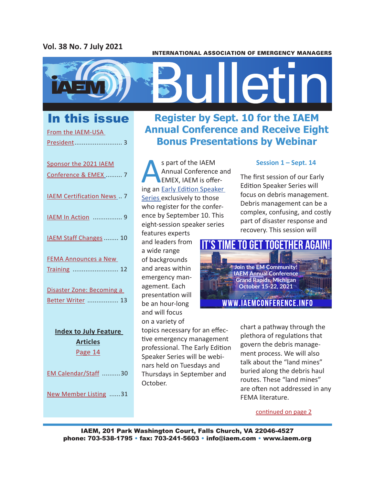# **Vol. 38 No. 7 July 2021**

#### **INTERNATIONAL ASSOCIATION OF EMERGENCY MANAGERS**



From the IAEM-USA

| Sponsor the 2021 IAEM            |
|----------------------------------|
| Conference & EMEX  7             |
| <b>IAEM Certification News 7</b> |
| <b>IAEM In Action  9</b>         |
| IAEM Staff Changes  10           |
| <b>FEMA Announces a New</b>      |
| Training  12                     |
| Disaster Zone: Becoming a        |
| Better Writer  13                |
| <b>Index to July Feature</b>     |
| <b>Articles</b>                  |
| Page 14                          |
| EM Calendar/Staff 30             |
| New Member Listing 31            |

# In this issue **Register by Sept. 10 for the IAEM Annual Conference and Receive Eight Bonus Presentations by Webinar**

S part of the IAEM<br>
Annual Conference ar<br>
EMEX, IAEM is offer-<br>
ing an <u>Early Edition Speaker</u> Annual Conference and EMEX, IAEM is offer-Series exclusively to those who register for the conference by September 10. This eight-session speaker series

features experts and leaders from a wide range of backgrounds and areas within emergency management. Each presentation will be an hour-long and will focus on a variety of

topics necessary for an effective emergency management professional. The Early Edition Speaker Series will be webinars held on Tuesdays and Thursdays in September and October.

# **Session 1 – Sept. 14**

The first session of our Early Edition Speaker Series will focus on debris management. Debris management can be a complex, confusing, and costly part of disaster response and recovery. This session will



chart a pathway through the plethora of regulations that govern the debris management process. We will also talk about the "land mines" buried along the debris haul routes. These "land mines" are often not addressed in any FEMA literature.

continued on page 2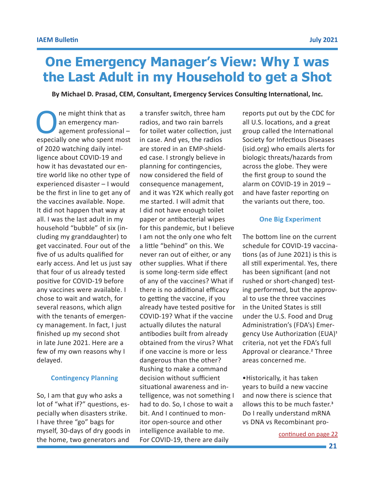# **One Emergency Manager's View: Why I was the Last Adult in my Household to get a Shot**

**By Michael D. Prasad, CEM, Consultant, Emergency Services Consulting International, Inc.**

One might think that as<br>
an emergency man-<br>
especially one who spent most an emergency management professional – of 2020 watching daily intelligence about COVID-19 and how it has devastated our entire world like no other type of experienced disaster – I would be the first in line to get any of the vaccines available. Nope. It did not happen that way at all. I was the last adult in my household "bubble" of six (including my granddaughter) to get vaccinated. Four out of the five of us adults qualified for early access. And let us just say that four of us already tested positive for COVID-19 before any vaccines were available. I chose to wait and watch, for several reasons, which align with the tenants of emergency management. In fact, I just finished up my second shot in late June 2021. Here are a few of my own reasons why I delayed.

### **Contingency Planning**

So, I am that guy who asks a lot of "what if?" questions, especially when disasters strike. I have three "go" bags for myself, 30-days of dry goods in the home, two generators and

a transfer switch, three ham radios, and two rain barrels for toilet water collection, just in case. And yes, the radios are stored in an EMP-shielded case. I strongly believe in planning for contingencies, now considered the field of consequence management, and it was Y2K which really got me started. I will admit that I did not have enough toilet paper or antibacterial wipes for this pandemic, but I believe I am not the only one who felt a little "behind" on this. We never ran out of either, or any other supplies. What if there is some long-term side effect of any of the vaccines? What if there is no additional efficacy to getting the vaccine, if you already have tested positive for COVID-19? What if the vaccine actually dilutes the natural antibodies built from already obtained from the virus? What if one vaccine is more or less dangerous than the other? Rushing to make a command decision without sufficient situational awareness and intelligence, was not something I had to do. So, I chose to wait a bit. And I continued to monitor open-source and other intelligence available to me. Intelligence available to me.<br>For COVID-19, there are daily example to the continued on page 22

reports put out by the CDC for all U.S. locations, and a great group called the International Society for Infectious Diseases (isid.org) who emails alerts for biologic threats/hazards from across the globe. They were the first group to sound the alarm on COVID-19 in 2019 – and have faster reporting on the variants out there, too.

## **One Big Experiment**

The bottom line on the current schedule for COVID-19 vaccinations (as of June 2021) is this is all still experimental. Yes, there has been significant (and not rushed or short-changed) testing performed, but the approval to use the three vaccines in the United States is still under the U.S. Food and Drug Administration's (FDA's) Emergency Use Authorization (EUA)1 criteria, not yet the FDA's full Approval or clearance.<sup>2</sup> Three areas concerned me.

•Historically, it has taken years to build a new vaccine and now there is science that allows this to be much faster.<sup>3</sup> Do I really understand mRNA vs DNA vs Recombinant pro-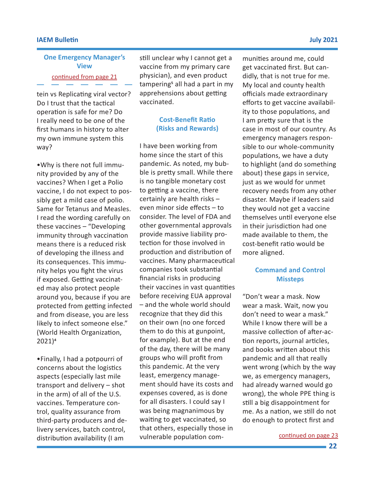### **IAEM Bulletin July 2021**

# continued from page 21 **One Emergency Manager's View**

tein vs Replicating viral vector? Do I trust that the tactical operation is safe for me? Do I really need to be one of the first humans in history to alter my own immune system this way?

•Why is there not full immunity provided by any of the vaccines? When I get a Polio vaccine, I do not expect to possibly get a mild case of polio. Same for Tetanus and Measles. I read the wording carefully on these vaccines – "Developing immunity through vaccination means there is a reduced risk of developing the illness and its consequences. This immunity helps you fight the virus if exposed. Getting vaccinated may also protect people around you, because if you are protected from getting infected and from disease, you are less likely to infect someone else." (World Health Organization, 2021)4

•Finally, I had a potpourri of concerns about the logistics aspects (especially last mile transport and delivery – shot in the arm) of all of the U.S. vaccines. Temperature control, quality assurance from third-party producers and delivery services, batch control, distribution availability (I am

still unclear why I cannot get a vaccine from my primary care physician), and even product tampering<sup>5</sup> all had a part in my apprehensions about getting vaccinated.

# **Cost-Benefit Ratio (Risks and Rewards)**

I have been working from home since the start of this pandemic. As noted, my bubble is pretty small. While there is no tangible monetary cost to getting a vaccine, there certainly are health risks – even minor side effects – to consider. The level of FDA and other governmental approvals provide massive liability protection for those involved in production and distribution of vaccines. Many pharmaceutical companies took substantial financial risks in producing their vaccines in vast quantities before receiving EUA approval – and the whole world should recognize that they did this on their own (no one forced them to do this at gunpoint, for example). But at the end of the day, there will be many groups who will profit from this pandemic. At the very least, emergency management should have its costs and expenses covered, as is done for all disasters. I could say I was being magnanimous by waiting to get vaccinated, so that others, especially those in vulnerable population communities around me, could get vaccinated first. But candidly, that is not true for me. My local and county health officials made extraordinary efforts to get vaccine availability to those populations, and I am pretty sure that is the case in most of our country. As emergency managers responsible to our whole-community populations, we have a duty to highlight (and do something about) these gaps in service, just as we would for unmet recovery needs from any other disaster. Maybe if leaders said they would not get a vaccine themselves until everyone else in their jurisdiction had one made available to them, the cost-benefit ratio would be more aligned.

# **Command and Control Missteps**

"Don't wear a mask. Now wear a mask. Wait, now you don't need to wear a mask." While I know there will be a massive collection of after-action reports, journal articles, and books written about this pandemic and all that really went wrong (which by the way we, as emergency managers, had already warned would go wrong), the whole PPE thing is still a big disappointment for me. As a nation, we still do not do enough to protect first and

continued on page 23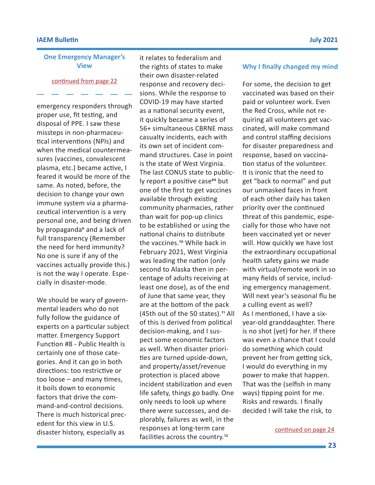## **One Emergency Manager's View**

continued from page 22

emergency responders through proper use, fit testing, and disposal of PPE. I saw these missteps in non-pharmaceutical interventions (NPIs) and when the medical countermeasures (vaccines, convalescent plasma, etc.) became active, I feared it would be more of the same. As noted, before, the decision to change your own immune system via a pharmaceutical intervention is a very personal one, and being driven by propaganda<sup>6</sup> and a lack of full transparency (Remember the need for herd immunity? No one is sure if any of the vaccines actually provide this.) is not the way I operate. Especially in disaster-mode.

We should be wary of governmental leaders who do not fully follow the guidance of experts on a particular subject matter. Emergency Support Function #8 - Public Health is certainly one of those categories. And it can go in both directions: too restrictive or too loose – and many times, it boils down to economic factors that drive the command-and-control decisions. There is much historical precedent for this view in U.S. disaster history, especially as

it relates to federalism and the rights of states to make their own disaster-related response and recovery decisions. While the response to COVID-19 may have started as a national security event, it quickly became a series of 56+ simultaneous CBRNE mass casualty incidents, each with its own set of incident command structures. Case in point is the state of West Virginia. The last CONUS state to publicly report a positive case<sup>89</sup> but one of the first to get vaccines available through existing community pharmacies, rather than wait for pop-up clinics to be established or using the national chains to distribute the vaccines.<sup>10</sup> While back in February 2021, West Virginia was leading the nation (only second to Alaska then in percentage of adults receiving at least one dose), as of the end of June that same year, they are at the bottom of the pack (45th out of the 50 states).<sup>11</sup> All of this is derived from political decision-making, and I suspect some economic factors as well. When disaster priorities are turned upside-down, and property/asset/revenue protection is placed above incident stabilization and even life safety, things go badly. One only needs to look up where there were successes, and deplorably, failures as well, in the responses at long-term care facilities across the country.12

#### **Why I finally changed my mind**

For some, the decision to get vaccinated was based on their paid or volunteer work. Even the Red Cross, while not requiring all volunteers get vaccinated, will make command and control staffing decisions for disaster preparedness and response, based on vaccination status of the volunteer. It is ironic that the need to get "back to normal" and put our unmasked faces in front of each other daily has taken priority over the continued threat of this pandemic, especially for those who have not been vaccinated yet or never will. How quickly we have lost the extraordinary occupational health safety gains we made with virtual/remote work in so many fields of service, including emergency management. Will next year's seasonal flu be a culling event as well? As I mentioned, I have a sixyear-old granddaughter. There is no shot (yet) for her. If there was even a chance that I could do something which could prevent her from getting sick, I would do everything in my power to make that happen. That was the (selfish in many ways) tipping point for me. Risks and rewards. I finally decided I will take the risk, to

continued on page 24